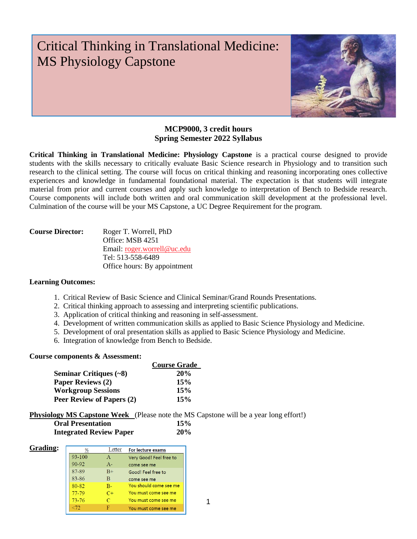# Critical Thinking in Translational Medicine: MS Physiology Capstone



# **MCP9000, 3 credit hours Spring Semester 2022 Syllabus**

**Critical Thinking in Translational Medicine: Physiology Capstone** is a practical course designed to provide students with the skills necessary to critically evaluate Basic Science research in Physiology and to transition such research to the clinical setting. The course will focus on critical thinking and reasoning incorporating ones collective experiences and knowledge in fundamental foundational material. The expectation is that students will integrate material from prior and current courses and apply such knowledge to interpretation of Bench to Bedside research. Course components will include both written and oral communication skill development at the professional level. Culmination of the course will be your MS Capstone, a UC Degree Requirement for the program.

| <b>Course Director:</b> | Roger T. Worrell, PhD        |
|-------------------------|------------------------------|
|                         | Office: MSB 4251             |
|                         | Email: roger.worrell@uc.edu  |
|                         | Tel: 513-558-6489            |
|                         | Office hours: By appointment |

# **Learning Outcomes:**

- 1.Critical Review of Basic Science and Clinical Seminar/Grand Rounds Presentations.
- 2. Critical thinking approach to assessing and interpreting scientific publications.
- 3. Application of critical thinking and reasoning in self-assessment.
- 4. Development of written communication skills as applied to Basic Science Physiology and Medicine.
- 5. Development of oral presentation skills as applied to Basic Science Physiology and Medicine.
- 6. Integration of knowledge from Bench to Bedside.

## **Course components & Assessment:**

|                                            | <b>Course Grade</b> |
|--------------------------------------------|---------------------|
| <b>Seminar Critiques <math>(-8)</math></b> | 20%                 |
| <b>Paper Reviews (2)</b>                   | 15%                 |
| <b>Workgroup Sessions</b>                  | 15%                 |
| Peer Review of Papers (2)                  | 15%                 |

**Physiology MS Capstone Week** (Please note the MS Capstone will be a year long effort!)

| <b>Oral Presentation</b>       | 15% |
|--------------------------------|-----|
| <b>Integrated Review Paper</b> | 20% |

| Grading: | %         | Letter    | <b>For lecture exams</b> |
|----------|-----------|-----------|--------------------------|
|          | 93-100    | A         | Very Good! Feel free to  |
|          | 90-92     | $A-$      | come see me              |
|          | 87-89     | $B+$      | Good! Feel free to       |
|          | 83-86     | В         | come see me              |
|          | 80-82     | $B -$     | You should come see me   |
|          | $77 - 79$ | $C_{\pm}$ | You must come see me     |
|          | 73-76     | $\subset$ | You must come see me     |
|          |           |           | You must come see me     |